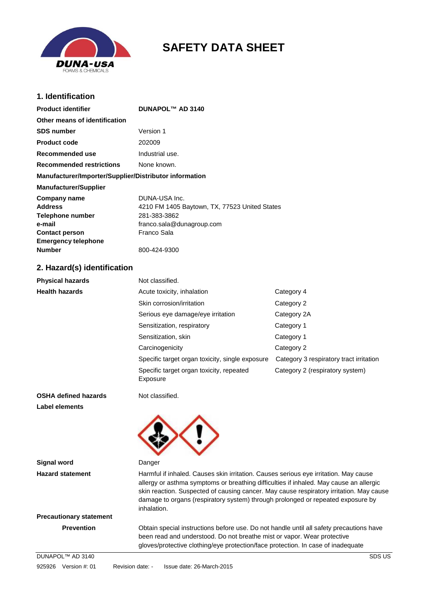

# **SAFETY DATA SHEET**

# **1. Identification**

**Product identifier DUNAPOL™ AD 3140** 

| Other means of identification                          |                                               |
|--------------------------------------------------------|-----------------------------------------------|
| <b>SDS number</b>                                      | Version 1                                     |
| <b>Product code</b>                                    | 202009                                        |
| Recommended use                                        | Industrial use.                               |
| <b>Recommended restrictions</b>                        | None known.                                   |
| Manufacturer/Importer/Supplier/Distributor information |                                               |
| <b>Manufacturer/Supplier</b>                           |                                               |
| Company name                                           | DUNA-USA Inc.                                 |
| <b>Address</b>                                         | 4210 FM 1405 Baytown, TX, 77523 United States |
| <b>Telephone number</b>                                | 281-383-3862                                  |
| e-mail                                                 | franco.sala@dunagroup.com                     |
| <b>Contact person</b>                                  | Franco Sala                                   |
| <b>Emergency telephone</b>                             |                                               |
| <b>Number</b>                                          | 800-424-9300                                  |

# **2. Hazard(s) identification**

| <b>Physical hazards</b> | Not classified.                                      |                                         |  |
|-------------------------|------------------------------------------------------|-----------------------------------------|--|
| <b>Health hazards</b>   | Acute toxicity, inhalation                           | Category 4                              |  |
|                         | Skin corrosion/irritation                            | Category 2                              |  |
|                         | Serious eye damage/eye irritation                    | Category 2A                             |  |
|                         | Sensitization, respiratory                           | Category 1                              |  |
|                         | Sensitization, skin                                  | Category 1                              |  |
|                         | Carcinogenicity                                      | Category 2                              |  |
|                         | Specific target organ toxicity, single exposure      | Category 3 respiratory tract irritation |  |
|                         | Specific target organ toxicity, repeated<br>Exposure | Category 2 (respiratory system)         |  |

**OSHA defined hazards** Not classified. **Label elements** 



| Signal word                    | Danger                                                                                                                                                                                                                                                                                                                                                                      |  |
|--------------------------------|-----------------------------------------------------------------------------------------------------------------------------------------------------------------------------------------------------------------------------------------------------------------------------------------------------------------------------------------------------------------------------|--|
| <b>Hazard statement</b>        | Harmful if inhaled. Causes skin irritation. Causes serious eye irritation. May cause<br>allergy or asthma symptoms or breathing difficulties if inhaled. May cause an allergic<br>skin reaction. Suspected of causing cancer. May cause respiratory irritation. May cause<br>damage to organs (respiratory system) through prolonged or repeated exposure by<br>inhalation. |  |
| <b>Precautionary statement</b> |                                                                                                                                                                                                                                                                                                                                                                             |  |
| <b>Prevention</b>              | Obtain special instructions before use. Do not handle until all safety precautions have<br>been read and understood. Do not breathe mist or vapor. Wear protective<br>gloves/protective clothing/eye protection/face protection. In case of inadequate                                                                                                                      |  |
| DUNAPOL™ AD 3140               | SDS US                                                                                                                                                                                                                                                                                                                                                                      |  |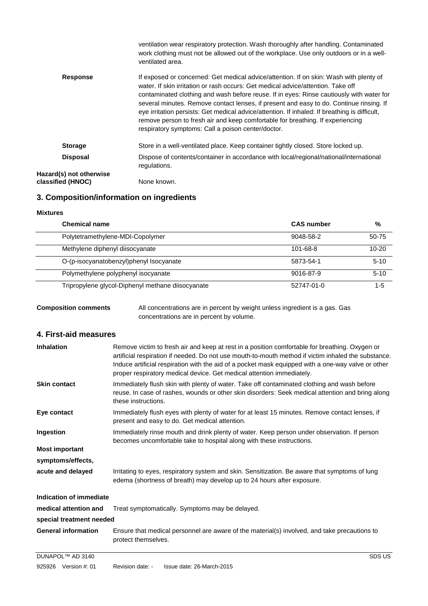|                                              | ventilation wear respiratory protection. Wash thoroughly after handling. Contaminated<br>work clothing must not be allowed out of the workplace. Use only outdoors or in a well-<br>ventilated area.                                                                                                                                                                                                                                                                                                                                                                                                       |
|----------------------------------------------|------------------------------------------------------------------------------------------------------------------------------------------------------------------------------------------------------------------------------------------------------------------------------------------------------------------------------------------------------------------------------------------------------------------------------------------------------------------------------------------------------------------------------------------------------------------------------------------------------------|
| <b>Response</b>                              | If exposed or concerned: Get medical advice/attention. If on skin: Wash with plenty of<br>water. If skin irritation or rash occurs: Get medical advice/attention. Take off<br>contaminated clothing and wash before reuse. If in eyes: Rinse cautiously with water for<br>several minutes. Remove contact lenses, if present and easy to do. Continue rinsing. If<br>eye irritation persists: Get medical advice/attention. If inhaled: If breathing is difficult,<br>remove person to fresh air and keep comfortable for breathing. If experiencing<br>respiratory symptoms: Call a poison center/doctor. |
| <b>Storage</b>                               | Store in a well-ventilated place. Keep container tightly closed. Store locked up.                                                                                                                                                                                                                                                                                                                                                                                                                                                                                                                          |
| <b>Disposal</b>                              | Dispose of contents/container in accordance with local/regional/national/international<br>regulations.                                                                                                                                                                                                                                                                                                                                                                                                                                                                                                     |
| Hazard(s) not otherwise<br>classified (HNOC) | None known.                                                                                                                                                                                                                                                                                                                                                                                                                                                                                                                                                                                                |

# **3. Composition/information on ingredients**

## **Mixtures**

| <b>Chemical name</b>                              | <b>CAS number</b> | %         |
|---------------------------------------------------|-------------------|-----------|
| Polytetramethylene-MDI-Copolymer                  | 9048-58-2         | 50-75     |
| Methylene diphenyl diisocyanate                   | 101-68-8          | $10 - 20$ |
| O-(p-isocyanatobenzyl)phenyl Isocyanate           | 5873-54-1         | $5 - 10$  |
| Polymethylene polyphenyl isocyanate               | 9016-87-9         | $5 - 10$  |
| Tripropylene glycol-Diphenyl methane diisocyanate | 52747-01-0        | $1 - 5$   |

## **Composition comments** All concentrations are in percent by weight unless ingredient is a gas. Gas concentrations are in percent by volume.

## **4. First-aid measures**

| <b>Inhalation</b><br>Remove victim to fresh air and keep at rest in a position comfortable for breathing. Oxygen or<br>artificial respiration if needed. Do not use mouth-to-mouth method if victim inhaled the substance.<br>Induce artificial respiration with the aid of a pocket mask equipped with a one-way valve or other<br>proper respiratory medical device. Get medical attention immediately. |                                                                                                                                                                                                                        |  |  |
|-----------------------------------------------------------------------------------------------------------------------------------------------------------------------------------------------------------------------------------------------------------------------------------------------------------------------------------------------------------------------------------------------------------|------------------------------------------------------------------------------------------------------------------------------------------------------------------------------------------------------------------------|--|--|
| <b>Skin contact</b>                                                                                                                                                                                                                                                                                                                                                                                       | Immediately flush skin with plenty of water. Take off contaminated clothing and wash before<br>reuse. In case of rashes, wounds or other skin disorders: Seek medical attention and bring along<br>these instructions. |  |  |
| Eye contact                                                                                                                                                                                                                                                                                                                                                                                               | Immediately flush eyes with plenty of water for at least 15 minutes. Remove contact lenses, if<br>present and easy to do. Get medical attention.                                                                       |  |  |
| Ingestion<br>Immediately rinse mouth and drink plenty of water. Keep person under observation. If person<br>becomes uncomfortable take to hospital along with these instructions.                                                                                                                                                                                                                         |                                                                                                                                                                                                                        |  |  |
| <b>Most important</b>                                                                                                                                                                                                                                                                                                                                                                                     |                                                                                                                                                                                                                        |  |  |
| symptoms/effects,                                                                                                                                                                                                                                                                                                                                                                                         |                                                                                                                                                                                                                        |  |  |
| acute and delayed<br>Irritating to eyes, respiratory system and skin. Sensitization. Be aware that symptoms of lung<br>edema (shortness of breath) may develop up to 24 hours after exposure.                                                                                                                                                                                                             |                                                                                                                                                                                                                        |  |  |
| Indication of immediate                                                                                                                                                                                                                                                                                                                                                                                   |                                                                                                                                                                                                                        |  |  |
| medical attention and                                                                                                                                                                                                                                                                                                                                                                                     | Treat symptomatically. Symptoms may be delayed.                                                                                                                                                                        |  |  |
| special treatment needed                                                                                                                                                                                                                                                                                                                                                                                  |                                                                                                                                                                                                                        |  |  |
| <b>General information</b>                                                                                                                                                                                                                                                                                                                                                                                | Ensure that medical personnel are aware of the material(s) involved, and take precautions to<br>protect themselves.                                                                                                    |  |  |
| DUNAPOL™ AD 3140                                                                                                                                                                                                                                                                                                                                                                                          | SDS US                                                                                                                                                                                                                 |  |  |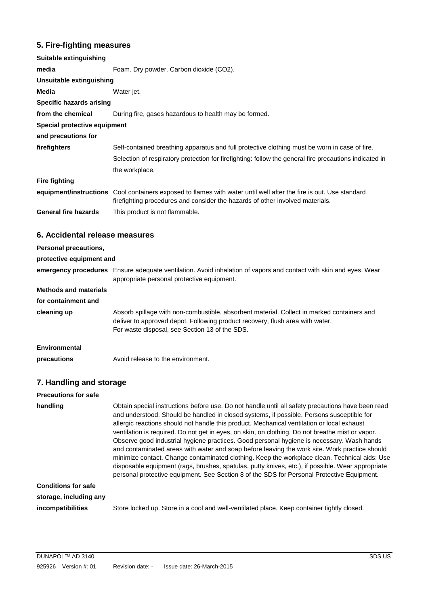# **5. Fire-fighting measures**

| Suitable extinguishing          |                                                                                                                                                                                                     |  |  |  |  |
|---------------------------------|-----------------------------------------------------------------------------------------------------------------------------------------------------------------------------------------------------|--|--|--|--|
| media                           | Foam. Dry powder. Carbon dioxide (CO2).                                                                                                                                                             |  |  |  |  |
| Unsuitable extinguishing        |                                                                                                                                                                                                     |  |  |  |  |
| Media                           | Water jet.                                                                                                                                                                                          |  |  |  |  |
| <b>Specific hazards arising</b> |                                                                                                                                                                                                     |  |  |  |  |
| from the chemical               | During fire, gases hazardous to health may be formed.                                                                                                                                               |  |  |  |  |
| Special protective equipment    |                                                                                                                                                                                                     |  |  |  |  |
| and precautions for             |                                                                                                                                                                                                     |  |  |  |  |
| firefighters                    | Self-contained breathing apparatus and full protective clothing must be worn in case of fire.                                                                                                       |  |  |  |  |
|                                 | Selection of respiratory protection for firefighting: follow the general fire precautions indicated in                                                                                              |  |  |  |  |
|                                 | the workplace.                                                                                                                                                                                      |  |  |  |  |
| <b>Fire fighting</b>            |                                                                                                                                                                                                     |  |  |  |  |
|                                 | equipment/instructions Cool containers exposed to flames with water until well after the fire is out. Use standard<br>firefighting procedures and consider the hazards of other involved materials. |  |  |  |  |
| <b>General fire hazards</b>     | This product is not flammable.                                                                                                                                                                      |  |  |  |  |
| 6. Accidental release measures  |                                                                                                                                                                                                     |  |  |  |  |
| <b>Personal precautions,</b>    |                                                                                                                                                                                                     |  |  |  |  |

| FUSULIAI DIUGUUULIS,         |                                                                                                                                                                                                                               |
|------------------------------|-------------------------------------------------------------------------------------------------------------------------------------------------------------------------------------------------------------------------------|
| protective equipment and     |                                                                                                                                                                                                                               |
|                              | emergency procedures Ensure adequate ventilation. Avoid inhalation of vapors and contact with skin and eyes. Wear<br>appropriate personal protective equipment.                                                               |
| <b>Methods and materials</b> |                                                                                                                                                                                                                               |
| for containment and          |                                                                                                                                                                                                                               |
| cleaning up                  | Absorb spillage with non-combustible, absorbent material. Collect in marked containers and<br>deliver to approved depot. Following product recovery, flush area with water.<br>For waste disposal, see Section 13 of the SDS. |
| Environmental                |                                                                                                                                                                                                                               |
| precautions                  | Avoid release to the environment.                                                                                                                                                                                             |

# **7. Handling and storage**

| <b>Precautions for safe</b> |                                                                                                                                                                                                                                                                                                                                                                                                                                                                                                                                                                                                                                                                                                                                                                                                                                                                                                    |
|-----------------------------|----------------------------------------------------------------------------------------------------------------------------------------------------------------------------------------------------------------------------------------------------------------------------------------------------------------------------------------------------------------------------------------------------------------------------------------------------------------------------------------------------------------------------------------------------------------------------------------------------------------------------------------------------------------------------------------------------------------------------------------------------------------------------------------------------------------------------------------------------------------------------------------------------|
| handling                    | Obtain special instructions before use. Do not handle until all safety precautions have been read<br>and understood. Should be handled in closed systems, if possible. Persons susceptible for<br>allergic reactions should not handle this product. Mechanical ventilation or local exhaust<br>ventilation is required. Do not get in eyes, on skin, on clothing. Do not breathe mist or vapor.<br>Observe good industrial hygiene practices. Good personal hygiene is necessary. Wash hands<br>and contaminated areas with water and soap before leaving the work site. Work practice should<br>minimize contact. Change contaminated clothing. Keep the workplace clean. Technical aids: Use<br>disposable equipment (rags, brushes, spatulas, putty knives, etc.), if possible. Wear appropriate<br>personal protective equipment. See Section 8 of the SDS for Personal Protective Equipment. |
| <b>Conditions for safe</b>  |                                                                                                                                                                                                                                                                                                                                                                                                                                                                                                                                                                                                                                                                                                                                                                                                                                                                                                    |
| storage, including any      |                                                                                                                                                                                                                                                                                                                                                                                                                                                                                                                                                                                                                                                                                                                                                                                                                                                                                                    |
| <i>incompatibilities</i>    | Store locked up. Store in a cool and well-ventilated place. Keep container tightly closed.                                                                                                                                                                                                                                                                                                                                                                                                                                                                                                                                                                                                                                                                                                                                                                                                         |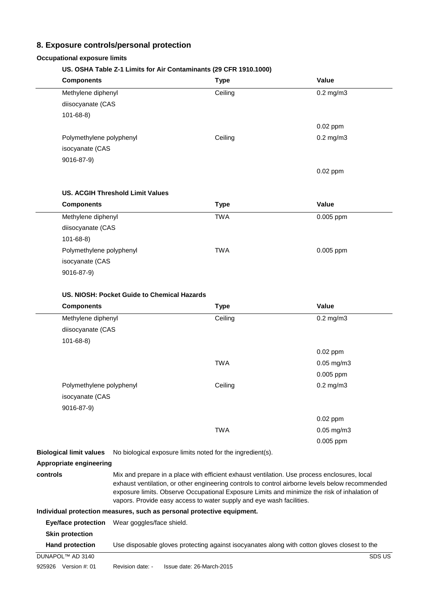# **8. Exposure controls/personal protection**

#### **Occupational exposure limits**

# **US. OSHA Table Z-1 Limits for Air Contaminants (29 CFR 1910.1000)**

| <b>COLIM Table 2-1 Limits for Air Contaminants (23 OF N 1310.1000)</b> |             |                 |
|------------------------------------------------------------------------|-------------|-----------------|
| <b>Components</b>                                                      | <b>Type</b> | Value           |
| Methylene diphenyl                                                     | Ceiling     | $0.2$ mg/m $3$  |
| diisocyanate (CAS                                                      |             |                 |
| $101 - 68 - 8$                                                         |             |                 |
|                                                                        |             | 0.02 ppm        |
| Polymethylene polyphenyl                                               | Ceiling     | $0.2$ mg/m $3$  |
| isocyanate (CAS                                                        |             |                 |
| 9016-87-9)                                                             |             |                 |
|                                                                        |             | 0.02 ppm        |
|                                                                        |             |                 |
| <b>US. ACGIH Threshold Limit Values</b>                                |             |                 |
| <b>Components</b>                                                      | <b>Type</b> | Value           |
| Methylene diphenyl                                                     | <b>TWA</b>  | 0.005 ppm       |
| diisocyanate (CAS                                                      |             |                 |
| $101 - 68 - 8$                                                         |             |                 |
| Polymethylene polyphenyl                                               | <b>TWA</b>  | 0.005 ppm       |
| isocyanate (CAS                                                        |             |                 |
| 9016-87-9)                                                             |             |                 |
|                                                                        |             |                 |
| US. NIOSH: Pocket Guide to Chemical Hazards                            |             |                 |
| <b>Components</b>                                                      | <b>Type</b> | Value           |
| Methylene diphenyl                                                     | Ceiling     | $0.2$ mg/m $3$  |
| diisocyanate (CAS                                                      |             |                 |
| $101 - 68 - 8$                                                         |             |                 |
|                                                                        |             | 0.02 ppm        |
|                                                                        | <b>TWA</b>  | $0.05$ mg/m $3$ |
|                                                                        |             | 0.005 ppm       |
| Polymethylene polyphenyl                                               | Ceiling     | $0.2$ mg/m $3$  |
| isocyanate (CAS                                                        |             |                 |
| 9016-87-9)                                                             |             |                 |
|                                                                        |             | 0.02 ppm        |
|                                                                        | <b>TWA</b>  | $0.05$ mg/m $3$ |
|                                                                        |             | 0.005 ppm       |
|                                                                        |             |                 |

**Biological limit values** No biological exposure limits noted for the ingredient(s).

# **Appropriate engineering**

**controls** Mix and prepare in a place with efficient exhaust ventilation. Use process enclosures, local exhaust ventilation, or other engineering controls to control airborne levels below recommended exposure limits. Observe Occupational Exposure Limits and minimize the risk of inhalation of vapors. Provide easy access to water supply and eye wash facilities.

#### **Individual protection measures, such as personal protective equipment.**

| Eye/face protection       | Wear goggles/face shield. |                           |                                                                                              |
|---------------------------|---------------------------|---------------------------|----------------------------------------------------------------------------------------------|
| <b>Skin protection</b>    |                           |                           |                                                                                              |
| <b>Hand protection</b>    |                           |                           | Use disposable gloves protecting against isocyanates along with cotton gloves closest to the |
| DUNAPOL™ AD 3140          |                           |                           | SDS US                                                                                       |
| 925926<br>Version $#: 01$ | Revision date: -          | Issue date: 26-March-2015 |                                                                                              |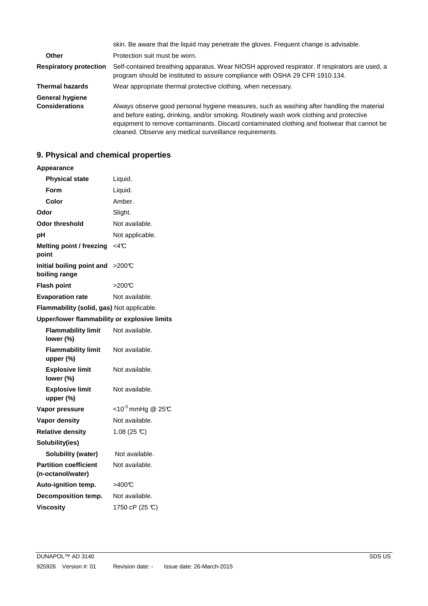|                                          | skin. Be aware that the liquid may penetrate the gloves. Frequent change is advisable.                                                                                                                                                                                                                                                           |
|------------------------------------------|--------------------------------------------------------------------------------------------------------------------------------------------------------------------------------------------------------------------------------------------------------------------------------------------------------------------------------------------------|
| Other                                    | Protection suit must be worn.                                                                                                                                                                                                                                                                                                                    |
| <b>Respiratory protection</b>            | Self-contained breathing apparatus. Wear NIOSH approved respirator. If respirators are used, a<br>program should be instituted to assure compliance with OSHA 29 CFR 1910.134.                                                                                                                                                                   |
| <b>Thermal hazards</b>                   | Wear appropriate thermal protective clothing, when necessary.                                                                                                                                                                                                                                                                                    |
| General hygiene<br><b>Considerations</b> | Always observe good personal hygiene measures, such as washing after handling the material<br>and before eating, drinking, and/or smoking. Routinely wash work clothing and protective<br>equipment to remove contaminants. Discard contaminated clothing and footwear that cannot be<br>cleaned. Observe any medical surveillance requirements. |

# **9. Physical and chemical properties**

| Appearance                                        |                                             |  |
|---------------------------------------------------|---------------------------------------------|--|
| <b>Physical state</b>                             | Liquid.                                     |  |
| Form                                              | Liquid.                                     |  |
| Color                                             | Amber.                                      |  |
| Odor                                              | Slight.                                     |  |
| <b>Odor threshold</b>                             | Not available.                              |  |
| рH                                                | Not applicable.                             |  |
| <b>Melting point / freezing</b><br>point          | <4°C                                        |  |
| Initial boiling point and<br>boiling range        | >200C                                       |  |
| <b>Flash point</b>                                | >200℃                                       |  |
| <b>Evaporation rate</b>                           | Not available.                              |  |
| Flammability (solid, gas) Not applicable.         |                                             |  |
| Upper/lower flammability or explosive limits      |                                             |  |
| <b>Flammability limit</b><br>lower (%)            | Not available.                              |  |
| <b>Flammability limit</b><br>upper (%)            | Not available.                              |  |
| <b>Explosive limit</b><br>lower (%)               | Not available.                              |  |
| <b>Explosive limit</b><br>upper (%)               | Not available.                              |  |
| Vapor pressure                                    | <10 <sup>-5</sup> mmHg @ 25 $\textdegree$ C |  |
| <b>Vapor density</b>                              | Not available.                              |  |
| <b>Relative density</b>                           | $1.08(25 \text{ C})$                        |  |
| Solubility(ies)                                   |                                             |  |
| <b>Solubility (water)</b>                         | Not available.                              |  |
| <b>Partition coefficient</b><br>(n-octanol/water) | Not available.                              |  |
| Auto-ignition temp.                               | >400°C                                      |  |
| Decomposition temp.                               | Not available.                              |  |
| <b>Viscosity</b>                                  | 1750 cP (25 °C)                             |  |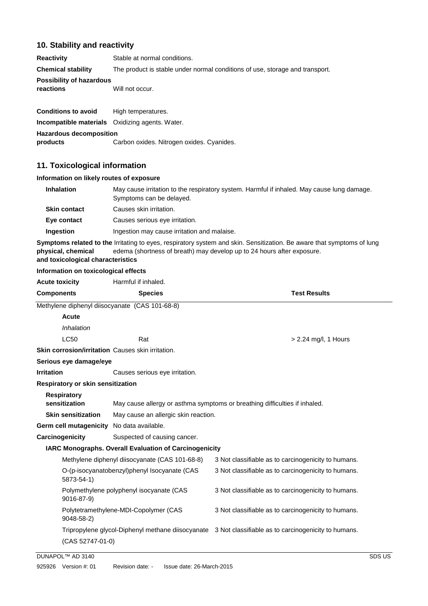# **10. Stability and reactivity**

| <b>Reactivity</b>                                      | Stable at normal conditions.                                                 |
|--------------------------------------------------------|------------------------------------------------------------------------------|
| <b>Chemical stability</b>                              | The product is stable under normal conditions of use, storage and transport. |
| <b>Possibility of hazardous</b><br>reactions           | Will not occur.                                                              |
| <b>Conditions to avoid</b>                             | High temperatures.                                                           |
| <b>Incompatible materials</b> Oxidizing agents. Water. |                                                                              |
| <b>Hazardous decomposition</b><br>products             | Carbon oxides. Nitrogen oxides. Cyanides.                                    |

## **11. Toxicological information**

## **Information on likely routes of exposure**

| <b>Inhalation</b>   | May cause irritation to the respiratory system. Harmful if inhaled. May cause lung damage.<br>Symptoms can be delayed. |
|---------------------|------------------------------------------------------------------------------------------------------------------------|
| <b>Skin contact</b> | Causes skin irritation.                                                                                                |
| Eye contact         | Causes serious eye irritation.                                                                                         |
| Ingestion           | Ingestion may cause irritation and malaise.                                                                            |
|                     |                                                                                                                        |

Symptoms related to the Irritating to eyes, respiratory system and skin. Sensitization. Be aware that symptoms of lung **physical, chemical** edema (shortness of breath) may develop up to 24 hours after exposure.

# **and toxicological characteristics Information on toxicological effects**

| <b>Acute toxicity</b>                                    | Harmful if inhaled.                                                        |                                                                                                       |
|----------------------------------------------------------|----------------------------------------------------------------------------|-------------------------------------------------------------------------------------------------------|
| <b>Components</b>                                        | <b>Species</b>                                                             | <b>Test Results</b>                                                                                   |
| Methylene diphenyl diisocyanate (CAS 101-68-8)           |                                                                            |                                                                                                       |
| Acute                                                    |                                                                            |                                                                                                       |
| <i><b>Inhalation</b></i>                                 |                                                                            |                                                                                                       |
| <b>LC50</b>                                              | Rat                                                                        | $> 2.24$ mg/l, 1 Hours                                                                                |
| <b>Skin corrosion/irritation</b> Causes skin irritation. |                                                                            |                                                                                                       |
| Serious eye damage/eye                                   |                                                                            |                                                                                                       |
| <b>Irritation</b>                                        | Causes serious eye irritation.                                             |                                                                                                       |
| Respiratory or skin sensitization                        |                                                                            |                                                                                                       |
| <b>Respiratory</b><br>sensitization                      | May cause allergy or asthma symptoms or breathing difficulties if inhaled. |                                                                                                       |
| <b>Skin sensitization</b>                                | May cause an allergic skin reaction.                                       |                                                                                                       |
| Germ cell mutagenicity No data available.                |                                                                            |                                                                                                       |
| Carcinogenicity                                          | Suspected of causing cancer.                                               |                                                                                                       |
|                                                          | <b>IARC Monographs. Overall Evaluation of Carcinogenicity</b>              |                                                                                                       |
|                                                          | Methylene diphenyl diisocyanate (CAS 101-68-8)                             | 3 Not classifiable as to carcinogenicity to humans.                                                   |
| 5873-54-1)                                               | O-(p-isocyanatobenzyl)phenyl Isocyanate (CAS                               | 3 Not classifiable as to carcinogenicity to humans.                                                   |
| 9016-87-9)                                               | Polymethylene polyphenyl isocyanate (CAS                                   | 3 Not classifiable as to carcinogenicity to humans.                                                   |
| $9048 - 58 - 2$                                          | Polytetramethylene-MDI-Copolymer (CAS                                      | 3 Not classifiable as to carcinogenicity to humans.                                                   |
|                                                          |                                                                            | Tripropylene glycol-Diphenyl methane diisocyanate 3 Not classifiable as to carcinogenicity to humans. |
| (CAS 52747-01-0)                                         |                                                                            |                                                                                                       |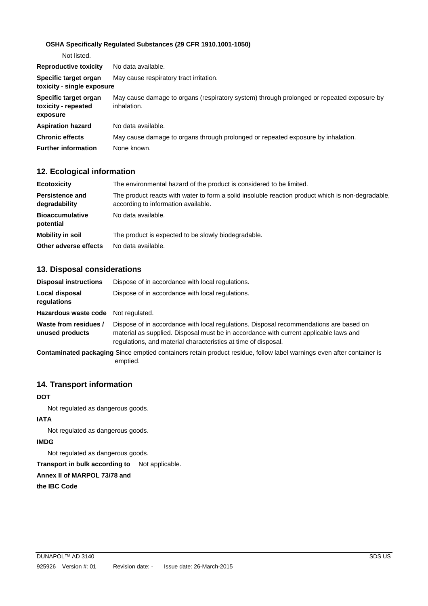## **OSHA Specifically Regulated Substances (29 CFR 1910.1001-1050)**

| Not listed.                                              |                                                                                                          |
|----------------------------------------------------------|----------------------------------------------------------------------------------------------------------|
| <b>Reproductive toxicity</b>                             | No data available.                                                                                       |
| Specific target organ<br>toxicity - single exposure      | May cause respiratory tract irritation.                                                                  |
| Specific target organ<br>toxicity - repeated<br>exposure | May cause damage to organs (respiratory system) through prolonged or repeated exposure by<br>inhalation. |
| <b>Aspiration hazard</b>                                 | No data available.                                                                                       |
| <b>Chronic effects</b>                                   | May cause damage to organs through prolonged or repeated exposure by inhalation.                         |
| <b>Further information</b>                               | None known.                                                                                              |

# **12. Ecological information**

| <b>Ecotoxicity</b>                      | The environmental hazard of the product is considered to be limited.                                                                     |
|-----------------------------------------|------------------------------------------------------------------------------------------------------------------------------------------|
| <b>Persistence and</b><br>degradability | The product reacts with water to form a solid insoluble reaction product which is non-degradable,<br>according to information available. |
| <b>Bioaccumulative</b><br>potential     | No data available.                                                                                                                       |
| Mobility in soil                        | The product is expected to be slowly biodegradable.                                                                                      |
| Other adverse effects                   | No data available.                                                                                                                       |

# **13. Disposal considerations**

| <b>Disposal instructions</b>             | Dispose of in accordance with local regulations.                                                                                                                                                                                                  |
|------------------------------------------|---------------------------------------------------------------------------------------------------------------------------------------------------------------------------------------------------------------------------------------------------|
| Local disposal<br>regulations            | Dispose of in accordance with local regulations.                                                                                                                                                                                                  |
| Hazardous waste code Not requiated.      |                                                                                                                                                                                                                                                   |
| Waste from residues /<br>unused products | Dispose of in accordance with local regulations. Disposal recommendations are based on<br>material as supplied. Disposal must be in accordance with current applicable laws and<br>regulations, and material characteristics at time of disposal. |
|                                          | Contaminated packaging Since emptied containers retain product residue, follow label warnings even after container is<br>emptied.                                                                                                                 |

# **14. Transport information**

#### **DOT**

Not regulated as dangerous goods.

## **IATA**

Not regulated as dangerous goods.

### **IMDG**

Not regulated as dangerous goods.

**Transport in bulk according to** Not applicable.

#### **Annex II of MARPOL 73/78 and**

**the IBC Code**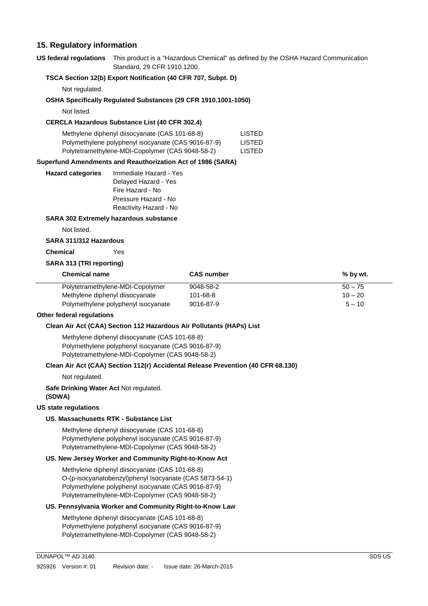## **15. Regulatory information**

**US federal regulations** This product is a "Hazardous Chemical" as defined by the OSHA Hazard Communication Standard, 29 CFR 1910.1200.

#### **TSCA Section 12(b) Export Notification (40 CFR 707, Subpt. D)**

Not regulated.

#### **OSHA Specifically Regulated Substances (29 CFR 1910.1001-1050)**

Not listed.

#### **CERCLA Hazardous Substance List (40 CFR 302.4)**

| Methylene diphenyl diisocyanate (CAS 101-68-8)      | <b>LISTED</b> |
|-----------------------------------------------------|---------------|
| Polymethylene polyphenyl isocyanate (CAS 9016-87-9) | <b>LISTED</b> |
| Polytetramethylene-MDI-Copolymer (CAS 9048-58-2)    | <b>LISTED</b> |

#### **Superfund Amendments and Reauthorization Act of 1986 (SARA)**

| <b>Hazard categories</b> | Immediate Hazard - Yes |
|--------------------------|------------------------|
|                          | Delayed Hazard - Yes   |
|                          | Fire Hazard - No       |
|                          | Pressure Hazard - No   |
|                          | Reactivity Hazard - No |

#### **SARA 302 Extremely hazardous substance**

Not listed.

### **SARA 311/312 Hazardous**

 **Chemical** Yes

#### **SARA 313 (TRI reporting)**

| <b>Chemical name</b>                | <b>CAS number</b> | $%$ by wt. |
|-------------------------------------|-------------------|------------|
| Polytetramethylene-MDI-Copolymer    | 9048-58-2         | $50 - 75$  |
| Methylene diphenyl diisocyanate     | 101-68-8          | $10 - 20$  |
| Polymethylene polyphenyl isocyanate | 9016-87-9         | $5 - 10$   |

#### **Other federal regulations**

#### **Clean Air Act (CAA) Section 112 Hazardous Air Pollutants (HAPs) List**

Methylene diphenyl diisocyanate (CAS 101-68-8) Polymethylene polyphenyl isocyanate (CAS 9016-87-9) Polytetramethylene-MDI-Copolymer (CAS 9048-58-2)

#### **Clean Air Act (CAA) Section 112(r) Accidental Release Prevention (40 CFR 68.130)**

Not regulated.

 **Safe Drinking Water Act** Not regulated.  **(SDWA)** 

#### **US state regulations**

#### **US. Massachusetts RTK - Substance List**

Methylene diphenyl diisocyanate (CAS 101-68-8) Polymethylene polyphenyl isocyanate (CAS 9016-87-9) Polytetramethylene-MDI-Copolymer (CAS 9048-58-2)

#### **US. New Jersey Worker and Community Right-to-Know Act**

Methylene diphenyl diisocyanate (CAS 101-68-8) O-(p-isocyanatobenzyl)phenyl Isocyanate (CAS 5873-54-1) Polymethylene polyphenyl isocyanate (CAS 9016-87-9) Polytetramethylene-MDI-Copolymer (CAS 9048-58-2)

#### **US. Pennsylvania Worker and Community Right-to-Know Law**

Methylene diphenyl diisocyanate (CAS 101-68-8) Polymethylene polyphenyl isocyanate (CAS 9016-87-9) Polytetramethylene-MDI-Copolymer (CAS 9048-58-2)